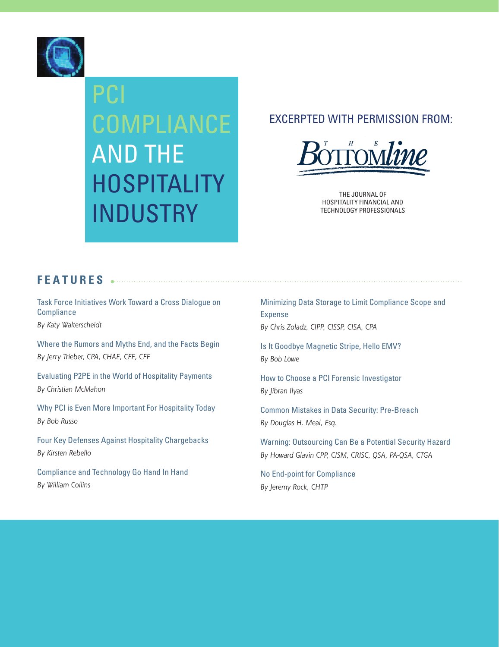

## PCI COMPLIANCE AND THE HOSPITALITY INDUSTRY

#### EXCERPTED WITH PERMISSION FROM:



THE JOURNAL OF HOSPITALITY FINANCIAL AND TECHNOLOGY PROFESSIONALS

#### **FEATURES**

[Task Force Initiatives Work Toward a Cross Dialogue on](#page-1-0)  **Compliance** 

*By Katy Walterscheidt*

[Where the Rumors and Myths End, and the Facts Begin](#page-3-0) *By Jerry Trieber, CPA, CHAE, CFE, CFF*

[Evaluating P2PE in the World of Hospitality Payments](#page-6-0) *By Christian McMahon*

[Why PCI is Even More Important For Hospitality Today](#page-9-0) *By Bob Russo*

[Four Key Defenses Against Hospitality Chargebacks](#page-11-0) *By Kirsten Rebello*

[Compliance and Technology Go Hand In Hand](#page-13-0) *By William Collins*

[Minimizing Data Storage to Limit Compliance Scope and](#page-15-0)  Expense *By Chris Zoladz, CIPP, CISSP, CISA, CPA*

[Is It Goodbye Magnetic Stripe, Hello EMV?](#page-17-0) *By Bob Lowe*

[How to Choose a PCI Forensic Investigator](#page-19-0) *By Jibran Ilyas*

[Common Mistakes in Data Security: Pre-Breach](#page-21-0) *By Douglas H. Meal, Esq.*

[Warning: Outsourcing Can Be a Potential Security Hazard](#page-24-0) *By Howard Glavin CPP, CISM, CRISC, QSA, PA-QSA, CTGA*

[No End-point for Compliance](#page-27-0) *By Jeremy Rock, CHTP*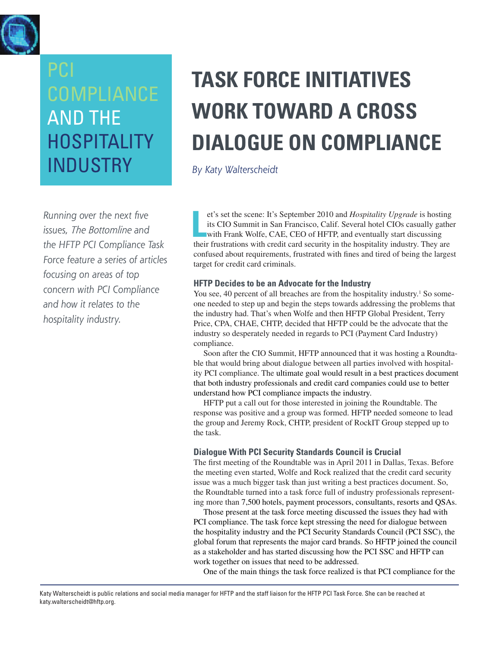<span id="page-1-0"></span>

## PCI COMPLIANCE AND THE **HOSPITALITY** INDUSTRY

*Running over the next five issues, The Bottomline and the HFTP PCI Compliance Task Force feature a series of articles focusing on areas of top concern with PCI Compliance and how it relates to the hospitality industry.* 

## **TASK FORCE INITIATIVES WORK TOWARD A CROSS DIALOGUE ON COMPLIANCE**

*By Katy Walterscheidt*

et's set the scene: It's September 2010 and *Hospitality Upgrade* is hosting<br>its CIO Summit in San Francisco, Calif. Several hotel CIOs casually gathe<br>with Frank Wolfe, CAE, CEO of HFTP, and eventually start discussing<br>the et's set the scene: It's September 2010 and *Hospitality Upgrade* is hosting its CIO Summit in San Francisco, Calif. Several hotel CIOs casually gather with Frank Wolfe, CAE, CEO of HFTP, and eventually start discussing confused about requirements, frustrated with fines and tired of being the largest target for credit card criminals.

#### **HFTP Decides to be an Advocate for the Industry**

You see, 40 percent of all breaches are from the hospitality industry.<sup>1</sup> So someone needed to step up and begin the steps towards addressing the problems that the industry had. That's when Wolfe and then HFTP Global President, Terry Price, CPA, CHAE, CHTP, decided that HFTP could be the advocate that the industry so desperately needed in regards to PCI (Payment Card Industry) compliance.

Soon after the CIO Summit, HFTP announced that it was hosting a Roundtable that would bring about dialogue between all parties involved with hospitality PCI compliance. The ultimate goal would result in a best practices document that both industry professionals and credit card companies could use to better understand how PCI compliance impacts the industry.

HFTP put a call out for those interested in joining the Roundtable. The response was positive and a group was formed. HFTP needed someone to lead the group and Jeremy Rock, CHTP, president of RockIT Group stepped up to the task.

#### **Dialogue With PCI Security Standards Council is Crucial**

The first meeting of the Roundtable was in April 2011 in Dallas, Texas. Before the meeting even started, Wolfe and Rock realized that the credit card security issue was a much bigger task than just writing a best practices document. So, the Roundtable turned into a task force full of industry professionals representing more than 7,500 hotels, payment processors, consultants, resorts and QSAs.

Those present at the task force meeting discussed the issues they had with PCI compliance. The task force kept stressing the need for dialogue between the hospitality industry and the PCI Security Standards Council (PCI SSC), the global forum that represents the major card brands. So HFTP joined the council as a stakeholder and has started discussing how the PCI SSC and HFTP can work together on issues that need to be addressed.

One of the main things the task force realized is that PCI compliance for the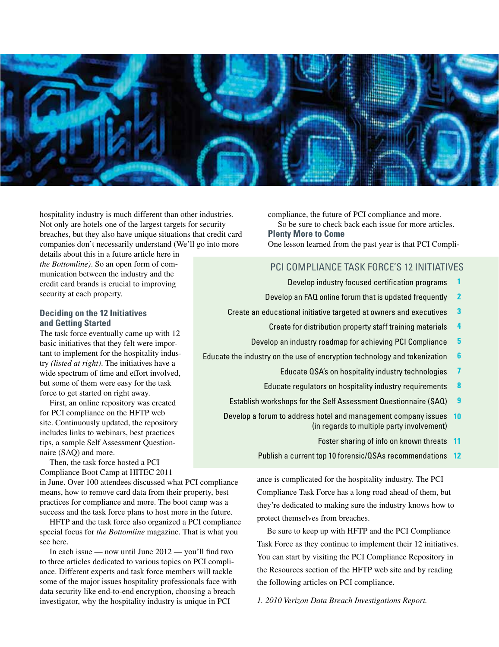

hospitality industry is much different than other industries. Not only are hotels one of the largest targets for security breaches, but they also have unique situations that credit card companies don't necessarily understand (We'll go into more

details about this in a future article here in *the Bottomline)*. So an open form of communication between the industry and the credit card brands is crucial to improving security at each property.

#### **Deciding on the 12 Initiatives and Getting Started**

The task force eventually came up with 12 basic initiatives that they felt were important to implement for the hospitality industry *(listed at right)*. The initiatives have a wide spectrum of time and effort involved, but some of them were easy for the task force to get started on right away.

First, an online repository was created for PCI compliance on the HFTP web site. Continuously updated, the repository includes links to webinars, best practices tips, a sample Self Assessment Questionnaire (SAQ) and more.

Then, the task force hosted a PCI Compliance Boot Camp at HITEC 2011

in June. Over 100 attendees discussed what PCI compliance means, how to remove card data from their property, best practices for compliance and more. The boot camp was a success and the task force plans to host more in the future.

HFTP and the task force also organized a PCI compliance special focus for *the Bottomline* magazine. That is what you see here.

In each issue — now until June 2012 — you'll find two to three articles dedicated to various topics on PCI compliance. Different experts and task force members will tackle some of the major issues hospitality professionals face with data security like end-to-end encryption, choosing a breach investigator, why the hospitality industry is unique in PCI

compliance, the future of PCI compliance and more. So be sure to check back each issue for more articles. **Plenty More to Come** One lesson learned from the past year is that PCI Compli-

#### PCI Compliance Task Force's 12 Initiatives

- Develop industry focused certification programs **1**
- Develop an FAQ online forum that is updated frequently **2**
- Create an educational initiative targeted at owners and executives **3** 
	- Create for distribution property staff training materials **4**
	- Develop an industry roadmap for achieving PCI Compliance **5**
- Educate the industry on the use of encryption technology and tokenization **6** 
	- Educate QSA's on hospitality industry technologies **7**
	- Educate regulators on hospitality industry requirements **8**
	- Establish workshops for the Self Assessment Questionnaire (SAQ) **9**
	- Develop a forum to address hotel and management company issues **10**  (in regards to multiple party involvement)
		- Foster sharing of info on known threats **11**
		- Publish a current top 10 forensic/QSAs recommendations **12**

ance is complicated for the hospitality industry. The PCI Compliance Task Force has a long road ahead of them, but they're dedicated to making sure the industry knows how to protect themselves from breaches.

Be sure to keep up with HFTP and the PCI Compliance Task Force as they continue to implement their 12 initiatives. You can start by visiting the PCI Compliance Repository in the Resources section of the HFTP web site and by reading the following articles on PCI compliance.

*1. 2010 Verizon Data Breach Investigations Report.*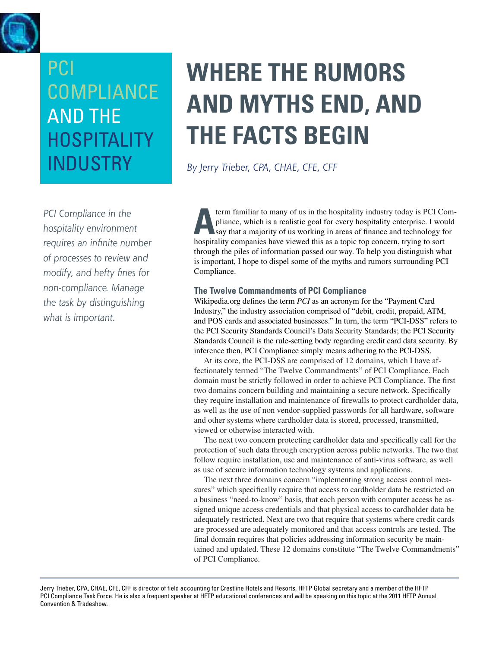<span id="page-3-0"></span>

## PCI Compliance And the **HOSPITALITY INDUSTRY**

*PCI Compliance in the hospitality environment requires an infinite number of processes to review and modify, and hefty fines for non-compliance. Manage the task by distinguishing what is important.*

## **Where the rumors and myths end, and the facts begin**

*By Jerry Trieber, CPA, CHAE, CFE, CFF*

**A**term familiar to many of us in the hospitality industry today is PCI Compliance, which is a realistic goal for every hospitality enterprise. I would say that a majority of us working in areas of finance and technology for hospitality companies have viewed this as a topic top concern, trying to sort through the piles of information passed our way. To help you distinguish what is important, I hope to dispel some of the myths and rumors surrounding PCI Compliance.

#### **The Twelve Commandments of PCI Compliance**

Wikipedia.org defines the term *PCI* as an acronym for the "Payment Card Industry," the industry association comprised of "debit, credit, prepaid, ATM, and POS cards and associated businesses." In turn, the term "PCI-DSS" refers to the PCI Security Standards Council's Data Security Standards; the PCI Security Standards Council is the rule-setting body regarding credit card data security. By inference then, PCI Compliance simply means adhering to the PCI-DSS.

At its core, the PCI-DSS are comprised of 12 domains, which I have affectionately termed "The Twelve Commandments" of PCI Compliance. Each domain must be strictly followed in order to achieve PCI Compliance. The first two domains concern building and maintaining a secure network. Specifically they require installation and maintenance of firewalls to protect cardholder data, as well as the use of non vendor-supplied passwords for all hardware, software and other systems where cardholder data is stored, processed, transmitted, viewed or otherwise interacted with.

The next two concern protecting cardholder data and specifically call for the protection of such data through encryption across public networks. The two that follow require installation, use and maintenance of anti-virus software, as well as use of secure information technology systems and applications.

The next three domains concern "implementing strong access control measures" which specifically require that access to cardholder data be restricted on a business "need-to-know" basis, that each person with computer access be assigned unique access credentials and that physical access to cardholder data be adequately restricted. Next are two that require that systems where credit cards are processed are adequately monitored and that access controls are tested. The final domain requires that policies addressing information security be maintained and updated. These 12 domains constitute "The Twelve Commandments" of PCI Compliance.

Jerry Trieber, CPA, CHAE, CFE, CFF is director of field accounting for Crestline Hotels and Resorts, HFTP Global secretary and a member of the HFTP PCI Compliance Task Force. He is also a frequent speaker at HFTP educational conferences and will be speaking on this topic at the 2011 HFTP Annual Convention & Tradeshow.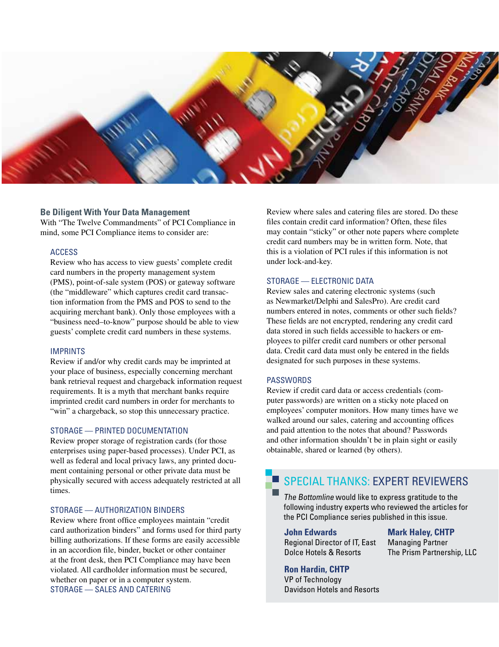

#### **Be Diligent With Your Data Management**

With "The Twelve Commandments" of PCI Compliance in mind, some PCI Compliance items to consider are:

#### ACCESS

Review who has access to view guests' complete credit card numbers in the property management system (PMS), point-of-sale system (POS) or gateway software (the "middleware" which captures credit card transaction information from the PMS and POS to send to the acquiring merchant bank). Only those employees with a "business need–to-know" purpose should be able to view guests' complete credit card numbers in these systems.

#### IMPRINTS

Review if and/or why credit cards may be imprinted at your place of business, especially concerning merchant bank retrieval request and chargeback information request requirements. It is a myth that merchant banks require imprinted credit card numbers in order for merchants to "win" a chargeback, so stop this unnecessary practice.

#### STORAGE — PRINTED DOCUMENTATION

Review proper storage of registration cards (for those enterprises using paper-based processes). Under PCI, as well as federal and local privacy laws, any printed document containing personal or other private data must be physically secured with access adequately restricted at all times.

#### STORAGE — AUTHORIZATION BINDERS

Review where front office employees maintain "credit card authorization binders" and forms used for third party billing authorizations. If these forms are easily accessible in an accordion file, binder, bucket or other container at the front desk, then PCI Compliance may have been violated. All cardholder information must be secured, whether on paper or in a computer system. STORAGE — SALES AND CATERING

Review where sales and catering files are stored. Do these files contain credit card information? Often, these files may contain "sticky" or other note papers where complete credit card numbers may be in written form. Note, that this is a violation of PCI rules if this information is not under lock-and-key.

#### STORAGE — ELECTRONIC DATA

Review sales and catering electronic systems (such as Newmarket/Delphi and SalesPro). Are credit card numbers entered in notes, comments or other such fields? These fields are not encrypted, rendering any credit card data stored in such fields accessible to hackers or employees to pilfer credit card numbers or other personal data. Credit card data must only be entered in the fields designated for such purposes in these systems.

#### **PASSWORDS**

Review if credit card data or access credentials (computer passwords) are written on a sticky note placed on employees' computer monitors. How many times have we walked around our sales, catering and accounting offices and paid attention to the notes that abound? Passwords and other information shouldn't be in plain sight or easily obtainable, shared or learned (by others).

#### SPECIAL THANKS: EXPERT REVIEWERS

The Bottomline would like to express gratitude to the following industry experts who reviewed the articles for the PCI Compliance series published in this issue.

#### **John Edwards**

Regional Director of IT, East Dolce Hotels & Resorts

**Mark Haley, CHTP** Managing Partner The Prism Partnership, LLC

#### **Ron Hardin, CHTP**

VP of Technology Davidson Hotels and Resorts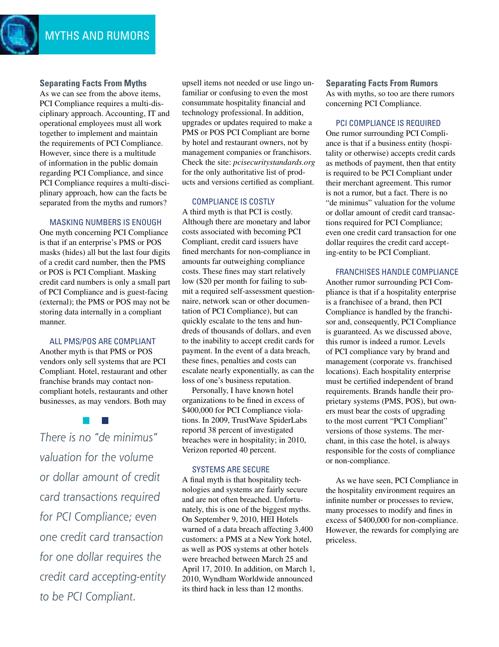#### **Separating Facts From Myths**

As we can see from the above items, PCI Compliance requires a multi-disciplinary approach. Accounting, IT and operational employees must all work together to implement and maintain the requirements of PCI Compliance. However, since there is a multitude of information in the public domain regarding PCI Compliance, and since PCI Compliance requires a multi-disciplinary approach, how can the facts be separated from the myths and rumors?

#### MASKING NUMBERS IS ENOUGH

One myth concerning PCI Compliance is that if an enterprise's PMS or POS masks (hides) all but the last four digits of a credit card number, then the PMS or POS is PCI Compliant. Masking credit card numbers is only a small part of PCI Compliance and is guest-facing (external); the PMS or POS may not be storing data internally in a compliant manner.

#### ALL PMS/POS ARE COMPLIANT

Another myth is that PMS or POS vendors only sell systems that are PCI Compliant. Hotel, restaurant and other franchise brands may contact noncompliant hotels, restaurants and other businesses, as may vendors. Both may

*There is no "de minimus" valuation for the volume or dollar amount of credit card transactions required for PCI Compliance; even one credit card transaction for one dollar requires the credit card accepting-entity to be PCI Compliant.* 

upsell items not needed or use lingo unfamiliar or confusing to even the most consummate hospitality financial and technology professional. In addition, upgrades or updates required to make a PMS or POS PCI Compliant are borne by hotel and restaurant owners, not by management companies or franchisors. Check the site: *pcisecuritystandards.org* for the only authoritative list of products and versions certified as compliant.

#### COMPLIANCE IS COSTLY

A third myth is that PCI is costly. Although there are monetary and labor costs associated with becoming PCI Compliant, credit card issuers have fined merchants for non-compliance in amounts far outweighing compliance costs. These fines may start relatively low (\$20 per month for failing to submit a required self-assessment questionnaire, network scan or other documentation of PCI Compliance), but can quickly escalate to the tens and hundreds of thousands of dollars, and even to the inability to accept credit cards for payment. In the event of a data breach, these fines, penalties and costs can escalate nearly exponentially, as can the loss of one's business reputation.

Personally, I have known hotel organizations to be fined in excess of \$400,000 for PCI Compliance violations. In 2009, TrustWave SpiderLabs reportd 38 percent of investigated breaches were in hospitality; in 2010, Verizon reported 40 percent.

#### SYSTEMS ARE SECURE

A final myth is that hospitality technologies and systems are fairly secure and are not often breached. Unfortunately, this is one of the biggest myths. On September 9, 2010, HEI Hotels warned of a data breach affecting 3,400 customers: a PMS at a New York hotel, as well as POS systems at other hotels were breached between March 25 and April 17, 2010. In addition, on March 1, 2010, Wyndham Worldwide announced its third hack in less than 12 months.

#### **Separating Facts From Rumors**

As with myths, so too are there rumors concerning PCI Compliance.

#### PCI COMPLIANCE IS REQUIRED

One rumor surrounding PCI Compliance is that if a business entity (hospitality or otherwise) accepts credit cards as methods of payment, then that entity is required to be PCI Compliant under their merchant agreement. This rumor is not a rumor, but a fact. There is no "de minimus" valuation for the volume or dollar amount of credit card transactions required for PCI Compliance; even one credit card transaction for one dollar requires the credit card accepting-entity to be PCI Compliant.

#### FRANCHISES HANDLE COMPLIANCE

Another rumor surrounding PCI Compliance is that if a hospitality enterprise is a franchisee of a brand, then PCI Compliance is handled by the franchisor and, consequently, PCI Compliance is guaranteed. As we discussed above, this rumor is indeed a rumor. Levels of PCI compliance vary by brand and management (corporate vs. franchised locations). Each hospitality enterprise must be certified independent of brand requirements. Brands handle their proprietary systems (PMS, POS), but owners must bear the costs of upgrading to the most current "PCI Compliant" versions of those systems. The merchant, in this case the hotel, is always responsible for the costs of compliance or non-compliance.

As we have seen, PCI Compliance in the hospitality environment requires an infinite number or processes to review, many processes to modify and fines in excess of \$400,000 for non-compliance. However, the rewards for complying are priceless.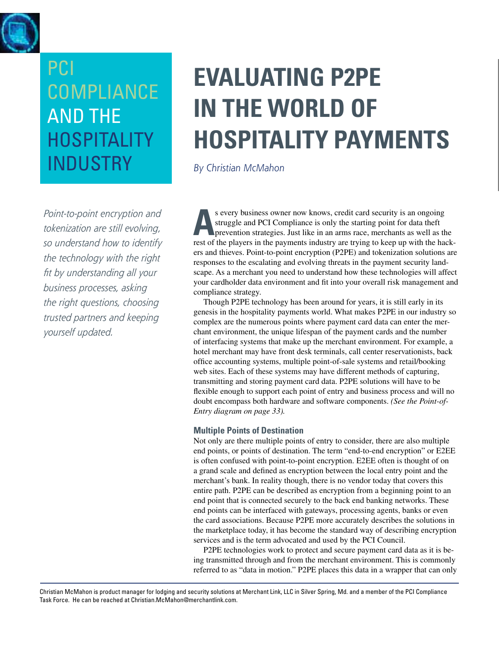<span id="page-6-0"></span>

*Point-to-point encryption and tokenization are still evolving, so understand how to identify the technology with the right fit by understanding all your business processes, asking the right questions, choosing trusted partners and keeping yourself updated.*

## **Evaluating P2PE in the World of Hospitality Payments**

*By Christian McMahon*

**As every business owner now knows, credit card security is an ongoing struggle and PCI Compliance is only the starting point for data theft prevention strategies. Just like in an arms race, merchants as well as the rest o** struggle and PCI Compliance is only the starting point for data theft rest of the players in the payments industry are trying to keep up with the hackers and thieves. Point-to-point encryption (P2PE) and tokenization solutions are responses to the escalating and evolving threats in the payment security landscape. As a merchant you need to understand how these technologies will affect your cardholder data environment and fit into your overall risk management and compliance strategy.

Though P2PE technology has been around for years, it is still early in its genesis in the hospitality payments world. What makes P2PE in our industry so complex are the numerous points where payment card data can enter the merchant environment, the unique lifespan of the payment cards and the number of interfacing systems that make up the merchant environment. For example, a hotel merchant may have front desk terminals, call center reservationists, back office accounting systems, multiple point-of-sale systems and retail/booking web sites. Each of these systems may have different methods of capturing, transmitting and storing payment card data. P2PE solutions will have to be flexible enough to support each point of entry and business process and will no doubt encompass both hardware and software components. *(See the Point-of-Entry diagram on page 33).*

#### **Multiple Points of Destination**

Not only are there multiple points of entry to consider, there are also multiple end points, or points of destination. The term "end-to-end encryption" or E2EE is often confused with point-to-point encryption. E2EE often is thought of on a grand scale and defined as encryption between the local entry point and the merchant's bank. In reality though, there is no vendor today that covers this entire path. P2PE can be described as encryption from a beginning point to an end point that is connected securely to the back end banking networks. These end points can be interfaced with gateways, processing agents, banks or even the card associations. Because P2PE more accurately describes the solutions in the marketplace today, it has become the standard way of describing encryption services and is the term advocated and used by the PCI Council.

P2PE technologies work to protect and secure payment card data as it is being transmitted through and from the merchant environment. This is commonly referred to as "data in motion." P2PE places this data in a wrapper that can only

Christian McMahon is product manager for lodging and security solutions at Merchant Link, LLC in Silver Spring, Md. and a member of the PCI Compliance Task Force. He can be reached at Christian.McMahon@merchantlink.com.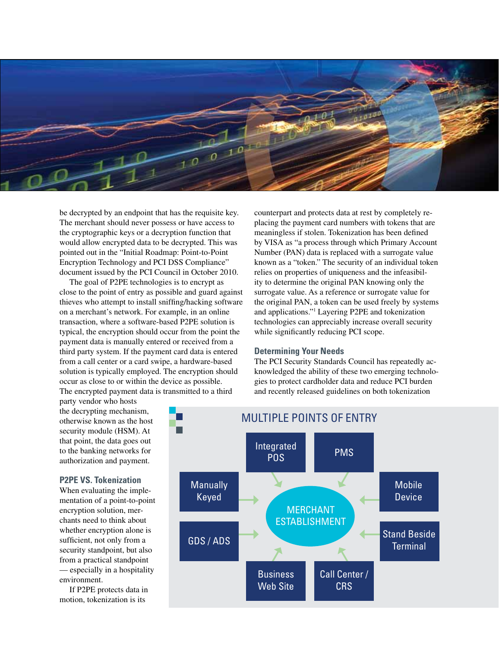

be decrypted by an endpoint that has the requisite key. The merchant should never possess or have access to the cryptographic keys or a decryption function that would allow encrypted data to be decrypted. This was pointed out in the "Initial Roadmap: Point-to-Point Encryption Technology and PCI DSS Compliance" document issued by the PCI Council in October 2010.

The goal of P2PE technologies is to encrypt as close to the point of entry as possible and guard against thieves who attempt to install sniffing/hacking software on a merchant's network. For example, in an online transaction, where a software-based P2PE solution is typical, the encryption should occur from the point the payment data is manually entered or received from a third party system. If the payment card data is entered from a call center or a card swipe, a hardware-based solution is typically employed. The encryption should occur as close to or within the device as possible. The encrypted payment data is transmitted to a third

party vendor who hosts the decrypting mechanism, otherwise known as the host security module (HSM). At that point, the data goes out to the banking networks for authorization and payment.

#### **P2PE VS. Tokenization**

When evaluating the implementation of a point-to-point encryption solution, merchants need to think about whether encryption alone is sufficient, not only from a security standpoint, but also from a practical standpoint — especially in a hospitality environment.

If P2PE protects data in motion, tokenization is its

counterpart and protects data at rest by completely replacing the payment card numbers with tokens that are meaningless if stolen. Tokenization has been defined by VISA as "a process through which Primary Account Number (PAN) data is replaced with a surrogate value known as a "token." The security of an individual token relies on properties of uniqueness and the infeasibility to determine the original PAN knowing only the surrogate value. As a reference or surrogate value for the original PAN, a token can be used freely by systems and applications."1 Layering P2PE and tokenization technologies can appreciably increase overall security while significantly reducing PCI scope.

#### **Determining Your Needs**

The PCI Security Standards Council has repeatedly acknowledged the ability of these two emerging technologies to protect cardholder data and reduce PCI burden and recently released guidelines on both tokenization

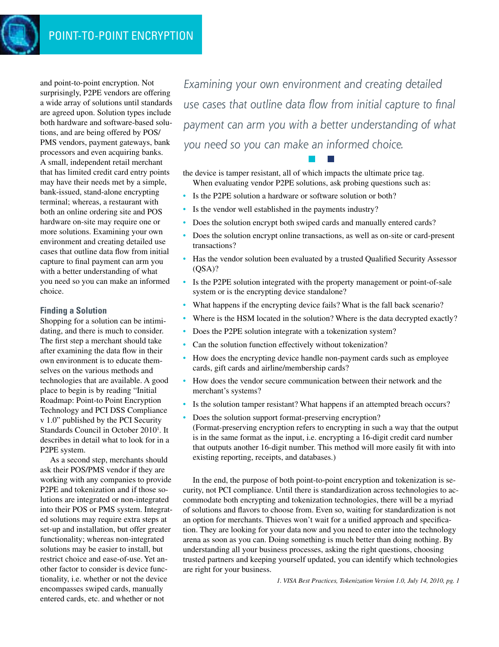and point-to-point encryption. Not surprisingly, P2PE vendors are offering a wide array of solutions until standards are agreed upon. Solution types include both hardware and software-based solutions, and are being offered by POS/ PMS vendors, payment gateways, bank processors and even acquiring banks. A small, independent retail merchant that has limited credit card entry points may have their needs met by a simple, bank-issued, stand-alone encrypting terminal; whereas, a restaurant with both an online ordering site and POS hardware on-site may require one or more solutions. Examining your own environment and creating detailed use cases that outline data flow from initial capture to final payment can arm you with a better understanding of what you need so you can make an informed choice.

#### **Finding a Solution**

Shopping for a solution can be intimidating, and there is much to consider. The first step a merchant should take after examining the data flow in their own environment is to educate themselves on the various methods and technologies that are available. A good place to begin is by reading "Initial Roadmap: Point-to Point Encryption Technology and PCI DSS Compliance v 1.0" published by the PCI Security Standards Council in October 2010<sup>1</sup>. It describes in detail what to look for in a P2PE system.

As a second step, merchants should ask their POS/PMS vendor if they are working with any companies to provide P2PE and tokenization and if those solutions are integrated or non-integrated into their POS or PMS system. Integrated solutions may require extra steps at set-up and installation, but offer greater functionality; whereas non-integrated solutions may be easier to install, but restrict choice and ease-of-use. Yet another factor to consider is device functionality, i.e. whether or not the device encompasses swiped cards, manually entered cards, etc. and whether or not

*Examining your own environment and creating detailed use cases that outline data flow from initial capture to final payment can arm you with a better understanding of what you need so you can make an informed choice.* 

the device is tamper resistant, all of which impacts the ultimate price tag. When evaluating vendor P2PE solutions, ask probing questions such as:

- Is the P2PE solution a hardware or software solution or both?
- Is the vendor well established in the payments industry?
- Does the solution encrypt both swiped cards and manually entered cards?
- Does the solution encrypt online transactions, as well as on-site or card-present transactions?
- Has the vendor solution been evaluated by a trusted Qualified Security Assessor  $(QSA)?$
- Is the P2PE solution integrated with the property management or point-of-sale system or is the encrypting device standalone?
- What happens if the encrypting device fails? What is the fall back scenario?
- Where is the HSM located in the solution? Where is the data decrypted exactly?
- Does the P2PE solution integrate with a tokenization system?
- Can the solution function effectively without tokenization?
- How does the encrypting device handle non-payment cards such as employee cards, gift cards and airline/membership cards?
- How does the vendor secure communication between their network and the merchant's systems?
- Is the solution tamper resistant? What happens if an attempted breach occurs?
- Does the solution support format-preserving encryption? (Format-preserving encryption refers to encrypting in such a way that the output is in the same format as the input, i.e. encrypting a 16-digit credit card number that outputs another 16-digit number. This method will more easily fit with into existing reporting, receipts, and databases.)

In the end, the purpose of both point-to-point encryption and tokenization is security, not PCI compliance. Until there is standardization across technologies to accommodate both encrypting and tokenization technologies, there will be a myriad of solutions and flavors to choose from. Even so, waiting for standardization is not an option for merchants. Thieves won't wait for a unified approach and specification. They are looking for your data now and you need to enter into the technology arena as soon as you can. Doing something is much better than doing nothing. By understanding all your business processes, asking the right questions, choosing trusted partners and keeping yourself updated, you can identify which technologies are right for your business.

*1. VISA Best Practices, Tokenization Version 1.0, July 14, 2010, pg. 1*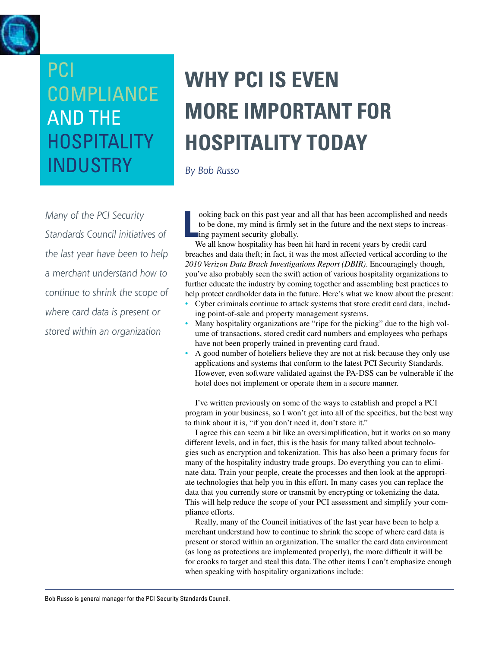<span id="page-9-0"></span>

*Many of the PCI Security Standards Council initiatives of the last year have been to help a merchant understand how to continue to shrink the scope of where card data is present or stored within an organization* 

## **Why PCI is even more important for hospitality today**

*By Bob Russo*

**L** ooking back on this past year and all that has been accomplished and needs to be done, my mind is firmly set in the future and the next steps to increasing payment security globally.

We all know hospitality has been hit hard in recent years by credit card breaches and data theft; in fact, it was the most affected vertical according to the *2010 Verizon Data Brach Investigations Report (DBIR)*. Encouragingly though, you've also probably seen the swift action of various hospitality organizations to further educate the industry by coming together and assembling best practices to help protect cardholder data in the future. Here's what we know about the present:

- Cyber criminals continue to attack systems that store credit card data, including point-of-sale and property management systems.
- Many hospitality organizations are "ripe for the picking" due to the high volume of transactions, stored credit card numbers and employees who perhaps have not been properly trained in preventing card fraud.
- A good number of hoteliers believe they are not at risk because they only use applications and systems that conform to the latest PCI Security Standards. However, even software validated against the PA-DSS can be vulnerable if the hotel does not implement or operate them in a secure manner.

I've written previously on some of the ways to establish and propel a PCI program in your business, so I won't get into all of the specifics, but the best way to think about it is, "if you don't need it, don't store it."

I agree this can seem a bit like an oversimplification, but it works on so many different levels, and in fact, this is the basis for many talked about technologies such as encryption and tokenization. This has also been a primary focus for many of the hospitality industry trade groups. Do everything you can to eliminate data. Train your people, create the processes and then look at the appropriate technologies that help you in this effort. In many cases you can replace the data that you currently store or transmit by encrypting or tokenizing the data. This will help reduce the scope of your PCI assessment and simplify your compliance efforts.

Really, many of the Council initiatives of the last year have been to help a merchant understand how to continue to shrink the scope of where card data is present or stored within an organization. The smaller the card data environment (as long as protections are implemented properly), the more difficult it will be for crooks to target and steal this data. The other items I can't emphasize enough when speaking with hospitality organizations include: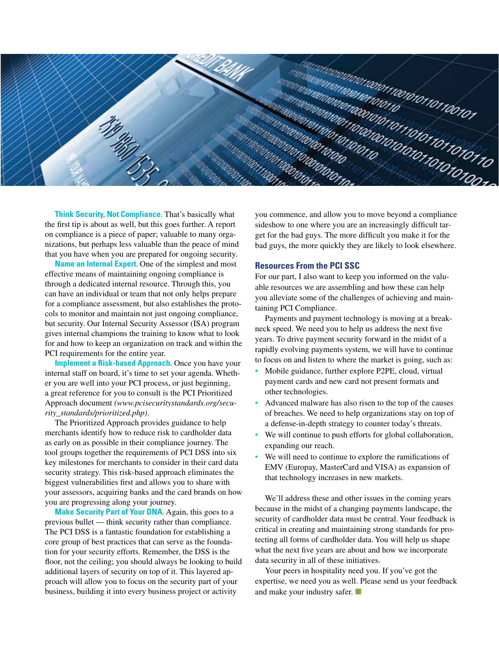

**Think Security, Not Compliance.** That's basically what the first tip is about as well, but this goes further. A report on compliance is a piece of paper; valuable to many organizations, but perhaps less valuable than the peace of mind that you have when you are prepared for ongoing security.

**Name an Internal Expert.** One of the simplest and most effective means of maintaining ongoing compliance is through a dedicated internal resource. Through this, you can have an individual or team that not only helps prepare for a compliance assessment, but also establishes the protocols to monitor and maintain not just ongoing compliance, but security. Our Internal Security Assessor (ISA) program gives internal champions the training to know what to look for and how to keep an organization on track and within the PCI requirements for the entire year.

**Implement a Risk-based Approach.** Once you have your internal staff on board, it's time to set your agenda. Whether you are well into your PCI process, or just beginning, a great reference for you to consult is the PCI Prioritized Approach document *(www.pcisecuritystandards.org/security\_standards/prioritized.php)*.

The Prioritized Approach provides guidance to help merchants identify how to reduce risk to cardholder data as early on as possible in their compliance journey. The tool groups together the requirements of PCI DSS into six key milestones for merchants to consider in their card data security strategy. This risk-based approach eliminates the biggest vulnerabilities first and allows you to share with your assessors, acquiring banks and the card brands on how you are progressing along your journey.

**Make Security Part of Your DNA.** Again, this goes to a previous bullet — think security rather than compliance. The PCI DSS is a fantastic foundation for establishing a core group of best practices that can serve as the foundation for your security efforts. Remember, the DSS is the floor, not the ceiling; you should always be looking to build additional layers of security on top of it. This layered approach will allow you to focus on the security part of your business, building it into every business project or activity

you commence, and allow you to move beyond a compliance sideshow to one where you are an increasingly difficult target for the bad guys. The more difficult you make it for the bad guys, the more quickly they are likely to look elsewhere.

#### **Resources From the PCI SSC**

For our part, I also want to keep you informed on the valuable resources we are assembling and how these can help you alleviate some of the challenges of achieving and maintaining PCI Compliance.

Payments and payment technology is moving at a breakneck speed. We need you to help us address the next five years. To drive payment security forward in the midst of a rapidly evolving payments system, we will have to continue to focus on and listen to where the market is going, such as:

- Mobile guidance, further explore P2PE, cloud, virtual payment cards and new card not present formats and other technologies.
- Advanced malware has also risen to the top of the causes of breaches. We need to help organizations stay on top of a defense-in-depth strategy to counter today's threats.
- We will continue to push efforts for global collaboration, expanding our reach.
- We will need to continue to explore the ramifications of EMV (Europay, MasterCard and VISA) as expansion of that technology increases in new markets.

We'll address these and other issues in the coming years because in the midst of a changing payments landscape, the security of cardholder data must be central. Your feedback is critical in creating and maintaining strong standards for protecting all forms of cardholder data. You will help us shape what the next five years are about and how we incorporate data security in all of these initiatives.

Your peers in hospitality need you. If you've got the expertise, we need you as well. Please send us your feedback and make your industry safer. ■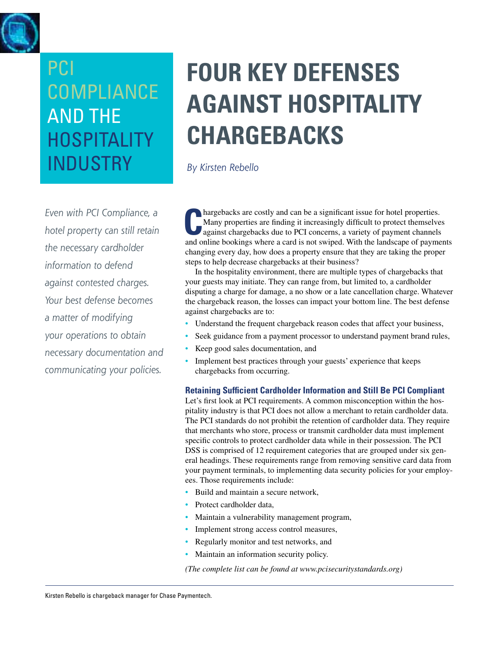<span id="page-11-0"></span>

*Even with PCI Compliance, a hotel property can still retain the necessary cardholder information to defend against contested charges. Your best defense becomes a matter of modifying your operations to obtain necessary documentation and communicating your policies.*

## **four key defenses against hospitality chargebacks**

*By Kirsten Rebello*

**C**hargebacks are costly and can be a significant issue for hotel properties. Many properties are finding it increasingly difficult to protect themselves against chargebacks due to PCI concerns, a variety of payment channels and online bookings where a card is not swiped. With the landscape of payments changing every day, how does a property ensure that they are taking the proper steps to help decrease chargebacks at their business?

In the hospitality environment, there are multiple types of chargebacks that your guests may initiate. They can range from, but limited to, a cardholder disputing a charge for damage, a no show or a late cancellation charge. Whatever the chargeback reason, the losses can impact your bottom line. The best defense against chargebacks are to:

- Understand the frequent chargeback reason codes that affect your business,
- Seek guidance from a payment processor to understand payment brand rules,
- Keep good sales documentation, and
- Implement best practices through your guests' experience that keeps chargebacks from occurring.

#### **Retaining Sufficient Cardholder Information and Still Be PCI Compliant**

Let's first look at PCI requirements. A common misconception within the hospitality industry is that PCI does not allow a merchant to retain cardholder data. The PCI standards do not prohibit the retention of cardholder data. They require that merchants who store, process or transmit cardholder data must implement specific controls to protect cardholder data while in their possession. The PCI DSS is comprised of 12 requirement categories that are grouped under six general headings. These requirements range from removing sensitive card data from your payment terminals, to implementing data security policies for your employees. Those requirements include:

- Build and maintain a secure network,
- Protect cardholder data,
- Maintain a vulnerability management program,
- Implement strong access control measures,
- Regularly monitor and test networks, and
- Maintain an information security policy.

*(The complete list can be found at www.pcisecuritystandards.org)*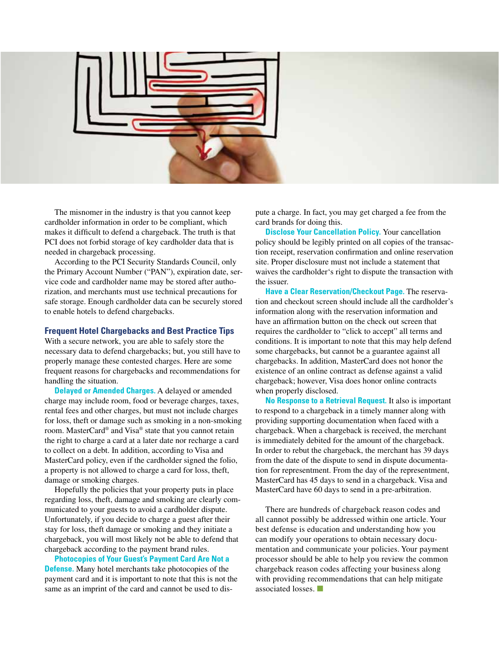

The misnomer in the industry is that you cannot keep cardholder information in order to be compliant, which makes it difficult to defend a chargeback. The truth is that PCI does not forbid storage of key cardholder data that is needed in chargeback processing.

According to the PCI Security Standards Council, only the Primary Account Number ("PAN"), expiration date, service code and cardholder name may be stored after authorization, and merchants must use technical precautions for safe storage. Enough cardholder data can be securely stored to enable hotels to defend chargebacks.

#### **Frequent Hotel Chargebacks and Best Practice Tips**

With a secure network, you are able to safely store the necessary data to defend chargebacks; but, you still have to properly manage these contested charges. Here are some frequent reasons for chargebacks and recommendations for handling the situation.

**Delayed or Amended Charges.** A delayed or amended charge may include room, food or beverage charges, taxes, rental fees and other charges, but must not include charges for loss, theft or damage such as smoking in a non-smoking room. MasterCard® and Visa® state that you cannot retain the right to charge a card at a later date nor recharge a card to collect on a debt. In addition, according to Visa and MasterCard policy, even if the cardholder signed the folio, a property is not allowed to charge a card for loss, theft, damage or smoking charges.

Hopefully the policies that your property puts in place regarding loss, theft, damage and smoking are clearly communicated to your guests to avoid a cardholder dispute. Unfortunately, if you decide to charge a guest after their stay for loss, theft damage or smoking and they initiate a chargeback, you will most likely not be able to defend that chargeback according to the payment brand rules.

**Photocopies of Your Guest's Payment Card Are Not a Defense.** Many hotel merchants take photocopies of the payment card and it is important to note that this is not the same as an imprint of the card and cannot be used to dispute a charge. In fact, you may get charged a fee from the card brands for doing this.

**Disclose Your Cancellation Policy.** Your cancellation policy should be legibly printed on all copies of the transaction receipt, reservation confirmation and online reservation site. Proper disclosure must not include a statement that waives the cardholder's right to dispute the transaction with the issuer.

**Have a Clear Reservation/Checkout Page.** The reservation and checkout screen should include all the cardholder's information along with the reservation information and have an affirmation button on the check out screen that requires the cardholder to "click to accept" all terms and conditions. It is important to note that this may help defend some chargebacks, but cannot be a guarantee against all chargebacks. In addition, MasterCard does not honor the existence of an online contract as defense against a valid chargeback; however, Visa does honor online contracts when properly disclosed.

**No Response to a Retrieval Request.** It also is important to respond to a chargeback in a timely manner along with providing supporting documentation when faced with a chargeback. When a chargeback is received, the merchant is immediately debited for the amount of the chargeback. In order to rebut the chargeback, the merchant has 39 days from the date of the dispute to send in dispute documentation for representment. From the day of the representment, MasterCard has 45 days to send in a chargeback. Visa and MasterCard have 60 days to send in a pre-arbitration.

There are hundreds of chargeback reason codes and all cannot possibly be addressed within one article. Your best defense is education and understanding how you can modify your operations to obtain necessary documentation and communicate your policies. Your payment processor should be able to help you review the common chargeback reason codes affecting your business along with providing recommendations that can help mitigate associated losses. ■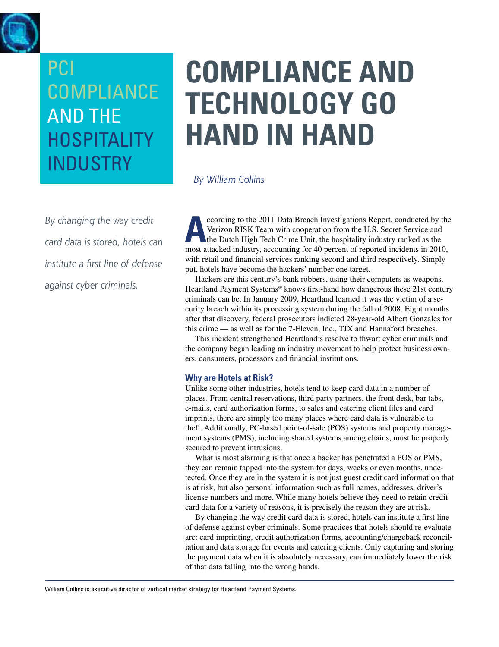<span id="page-13-0"></span>

*By changing the way credit card data is stored, hotels can institute a first line of defense against cyber criminals.* 

## **compliance and technology go Hand in hand**

*By William Collins*

**According to the 2011 Data Breach Investigations Report, conducted by the Verizon RISK Team with cooperation from the U.S. Secret Service and the Dutch High Tech Crime Unit, the hospitality industry ranked as the meet att** Verizon RISK Team with cooperation from the U.S. Secret Service and the Dutch High Tech Crime Unit, the hospitality industry ranked as the most attacked industry, accounting for 40 percent of reported incidents in 2010, with retail and financial services ranking second and third respectively. Simply put, hotels have become the hackers' number one target.

Hackers are this century's bank robbers, using their computers as weapons. Heartland Payment Systems® knows first-hand how dangerous these 21st century criminals can be. In January 2009, Heartland learned it was the victim of a security breach within its processing system during the fall of 2008. Eight months after that discovery, federal prosecutors indicted 28-year-old Albert Gonzales for this crime — as well as for the 7-Eleven, Inc., TJX and Hannaford breaches.

This incident strengthened Heartland's resolve to thwart cyber criminals and the company began leading an industry movement to help protect business owners, consumers, processors and financial institutions.

#### **Why are Hotels at Risk?**

Unlike some other industries, hotels tend to keep card data in a number of places. From central reservations, third party partners, the front desk, bar tabs, e-mails, card authorization forms, to sales and catering client files and card imprints, there are simply too many places where card data is vulnerable to theft. Additionally, PC-based point-of-sale (POS) systems and property management systems (PMS), including shared systems among chains, must be properly secured to prevent intrusions.

What is most alarming is that once a hacker has penetrated a POS or PMS, they can remain tapped into the system for days, weeks or even months, undetected. Once they are in the system it is not just guest credit card information that is at risk, but also personal information such as full names, addresses, driver's license numbers and more. While many hotels believe they need to retain credit card data for a variety of reasons, it is precisely the reason they are at risk.

By changing the way credit card data is stored, hotels can institute a first line of defense against cyber criminals. Some practices that hotels should re-evaluate are: card imprinting, credit authorization forms, accounting/chargeback reconciliation and data storage for events and catering clients. Only capturing and storing the payment data when it is absolutely necessary, can immediately lower the risk of that data falling into the wrong hands.

William Collins is executive director of vertical market strategy for Heartland Payment Systems.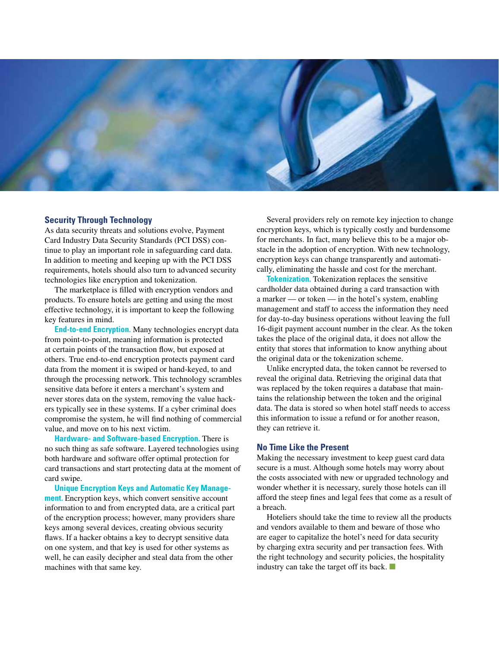

#### **Security Through Technology**

As data security threats and solutions evolve, Payment Card Industry Data Security Standards (PCI DSS) continue to play an important role in safeguarding card data. In addition to meeting and keeping up with the PCI DSS requirements, hotels should also turn to advanced security technologies like encryption and tokenization.

The marketplace is filled with encryption vendors and products. To ensure hotels are getting and using the most effective technology, it is important to keep the following key features in mind.

**End-to-end Encryption.** Many technologies encrypt data from point-to-point, meaning information is protected at certain points of the transaction flow, but exposed at others. True end-to-end encryption protects payment card data from the moment it is swiped or hand-keyed, to and through the processing network. This technology scrambles sensitive data before it enters a merchant's system and never stores data on the system, removing the value hackers typically see in these systems. If a cyber criminal does compromise the system, he will find nothing of commercial value, and move on to his next victim.

**Hardware- and Software-based Encryption.** There is no such thing as safe software. Layered technologies using both hardware and software offer optimal protection for card transactions and start protecting data at the moment of card swipe.

**Unique Encryption Keys and Automatic Key Management.** Encryption keys, which convert sensitive account information to and from encrypted data, are a critical part of the encryption process; however, many providers share keys among several devices, creating obvious security flaws. If a hacker obtains a key to decrypt sensitive data on one system, and that key is used for other systems as well, he can easily decipher and steal data from the other machines with that same key.

Several providers rely on remote key injection to change encryption keys, which is typically costly and burdensome for merchants. In fact, many believe this to be a major obstacle in the adoption of encryption. With new technology, encryption keys can change transparently and automatically, eliminating the hassle and cost for the merchant.

**Tokenization.** Tokenization replaces the sensitive cardholder data obtained during a card transaction with a marker — or token — in the hotel's system, enabling management and staff to access the information they need for day-to-day business operations without leaving the full 16-digit payment account number in the clear. As the token takes the place of the original data, it does not allow the entity that stores that information to know anything about the original data or the tokenization scheme.

Unlike encrypted data, the token cannot be reversed to reveal the original data. Retrieving the original data that was replaced by the token requires a database that maintains the relationship between the token and the original data. The data is stored so when hotel staff needs to access this information to issue a refund or for another reason, they can retrieve it.

#### **No Time Like the Present**

Making the necessary investment to keep guest card data secure is a must. Although some hotels may worry about the costs associated with new or upgraded technology and wonder whether it is necessary, surely those hotels can ill afford the steep fines and legal fees that come as a result of a breach.

Hoteliers should take the time to review all the products and vendors available to them and beware of those who are eager to capitalize the hotel's need for data security by charging extra security and per transaction fees. With the right technology and security policies, the hospitality industry can take the target off its back. ■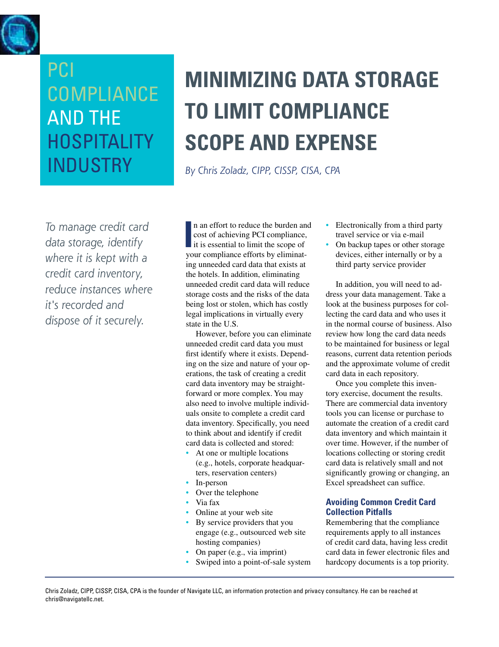<span id="page-15-0"></span>

### PCI **COMPLIANCE AND THE HOSPITALITY INDUSTRY**

## **Minimizing data storage to limit compliance Scope and expense**

*By Chris Zoladz, CIPP, CISSP, CISA, CPA*

*To manage credit card data storage, identify where it is kept with a credit card inventory, reduce instances where it's recorded and dispose of it securely.*

In an effort to reduce the burden an cost of achieving PCI compliance, it is essential to limit the scope of your compliance efforts by eliminatn an effort to reduce the burden and cost of achieving PCI compliance, it is essential to limit the scope of ing unneeded card data that exists at the hotels. In addition, eliminating unneeded credit card data will reduce storage costs and the risks of the data being lost or stolen, which has costly legal implications in virtually every state in the U.S.

However, before you can eliminate unneeded credit card data you must first identify where it exists. Depending on the size and nature of your operations, the task of creating a credit card data inventory may be straightforward or more complex. You may also need to involve multiple individuals onsite to complete a credit card data inventory. Specifically, you need to think about and identify if credit card data is collected and stored:

- At one or multiple locations (e.g., hotels, corporate headquarters, reservation centers)
- In-person
- Over the telephone
- Via fax
- Online at your web site
- By service providers that you engage (e.g., outsourced web site hosting companies)
- On paper (e.g., via imprint)
- Swiped into a point-of-sale system
- Electronically from a third party travel service or via e-mail
- On backup tapes or other storage devices, either internally or by a third party service provider

In addition, you will need to address your data management. Take a look at the business purposes for collecting the card data and who uses it in the normal course of business. Also review how long the card data needs to be maintained for business or legal reasons, current data retention periods and the approximate volume of credit card data in each repository.

Once you complete this inventory exercise, document the results. There are commercial data inventory tools you can license or purchase to automate the creation of a credit card data inventory and which maintain it over time. However, if the number of locations collecting or storing credit card data is relatively small and not significantly growing or changing, an Excel spreadsheet can suffice.

#### **Avoiding Common Credit Card Collection Pitfalls**

Remembering that the compliance requirements apply to all instances of credit card data, having less credit card data in fewer electronic files and hardcopy documents is a top priority.

Chris Zoladz, CIPP, CISSP, CISA, CPA is the founder of Navigate LLC, an information protection and privacy consultancy. He can be reached at chris@navigatellc.net.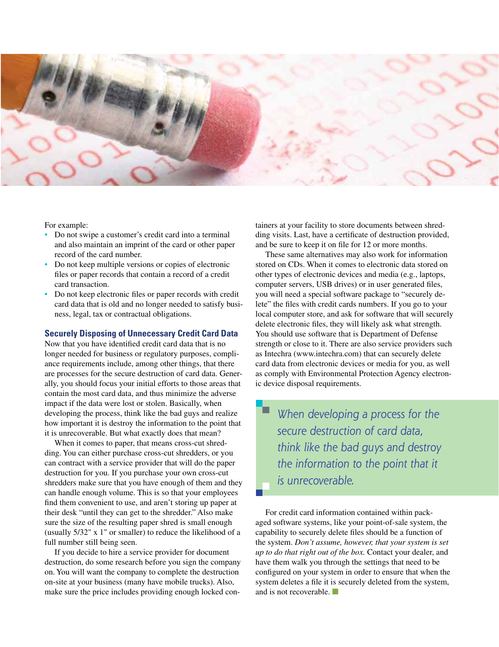

For example:

- Do not swipe a customer's credit card into a terminal and also maintain an imprint of the card or other paper record of the card number.
- Do not keep multiple versions or copies of electronic files or paper records that contain a record of a credit card transaction.
- Do not keep electronic files or paper records with credit card data that is old and no longer needed to satisfy business, legal, tax or contractual obligations.

#### **Securely Disposing of Unnecessary Credit Card Data**

Now that you have identified credit card data that is no longer needed for business or regulatory purposes, compliance requirements include, among other things, that there are processes for the secure destruction of card data. Generally, you should focus your initial efforts to those areas that contain the most card data, and thus minimize the adverse impact if the data were lost or stolen. Basically, when developing the process, think like the bad guys and realize how important it is destroy the information to the point that it is unrecoverable. But what exactly does that mean?

When it comes to paper, that means cross-cut shredding. You can either purchase cross-cut shredders, or you can contract with a service provider that will do the paper destruction for you. If you purchase your own cross-cut shredders make sure that you have enough of them and they can handle enough volume. This is so that your employees find them convenient to use, and aren't storing up paper at their desk "until they can get to the shredder." Also make sure the size of the resulting paper shred is small enough (usually 5/32" x 1" or smaller) to reduce the likelihood of a full number still being seen.

If you decide to hire a service provider for document destruction, do some research before you sign the company on. You will want the company to complete the destruction on-site at your business (many have mobile trucks). Also, make sure the price includes providing enough locked containers at your facility to store documents between shredding visits. Last, have a certificate of destruction provided, and be sure to keep it on file for 12 or more months.

These same alternatives may also work for information stored on CDs. When it comes to electronic data stored on other types of electronic devices and media (e.g., laptops, computer servers, USB drives) or in user generated files, you will need a special software package to "securely delete" the files with credit cards numbers. If you go to your local computer store, and ask for software that will securely delete electronic files, they will likely ask what strength. You should use software that is Department of Defense strength or close to it. There are also service providers such as Intechra (www.intechra.com) that can securely delete card data from electronic devices or media for you, as well as comply with Environmental Protection Agency electronic device disposal requirements.

*When developing a process for the secure destruction of card data, think like the bad guys and destroy the information to the point that it is unrecoverable.*

For credit card information contained within packaged software systems, like your point-of-sale system, the capability to securely delete files should be a function of the system. *Don't assume, however, that your system is set up to do that right out of the box.* Contact your dealer, and have them walk you through the settings that need to be configured on your system in order to ensure that when the system deletes a file it is securely deleted from the system, and is not recoverable. ■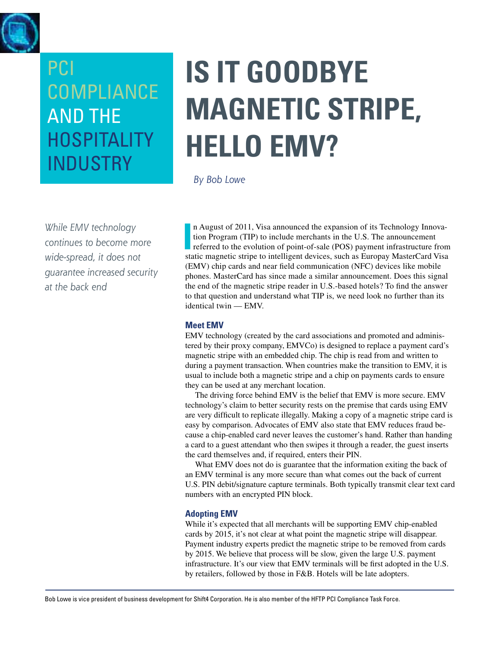<span id="page-17-0"></span>

# **Is it goodbye Magnetic Stripe, hello EmV?**

*By Bob Lowe*

*While EMV technology continues to become more wide-spread, it does not guarantee increased security at the back end*

In August of 2011, Visa announced the expansion of its Technology Innovation Program (TIP) to include merchants in the U.S. The announcement referred to the evolution of point-of-sale (POS) payment infrastructure from stat n August of 2011, Visa announced the expansion of its Technology Innovation Program (TIP) to include merchants in the U.S. The announcement referred to the evolution of point-of-sale (POS) payment infrastructure from (EMV) chip cards and near field communication (NFC) devices like mobile phones. MasterCard has since made a similar announcement. Does this signal the end of the magnetic stripe reader in U.S.-based hotels? To find the answer to that question and understand what TIP is, we need look no further than its identical twin — EMV.

#### **Meet EMV**

EMV technology (created by the card associations and promoted and administered by their proxy company, EMVCo) is designed to replace a payment card's magnetic stripe with an embedded chip. The chip is read from and written to during a payment transaction. When countries make the transition to EMV, it is usual to include both a magnetic stripe and a chip on payments cards to ensure they can be used at any merchant location.

The driving force behind EMV is the belief that EMV is more secure. EMV technology's claim to better security rests on the premise that cards using EMV are very difficult to replicate illegally. Making a copy of a magnetic stripe card is easy by comparison. Advocates of EMV also state that EMV reduces fraud because a chip-enabled card never leaves the customer's hand. Rather than handing a card to a guest attendant who then swipes it through a reader, the guest inserts the card themselves and, if required, enters their PIN.

What EMV does not do is guarantee that the information exiting the back of an EMV terminal is any more secure than what comes out the back of current U.S. PIN debit/signature capture terminals. Both typically transmit clear text card numbers with an encrypted PIN block.

#### **Adopting EMV**

While it's expected that all merchants will be supporting EMV chip-enabled cards by 2015, it's not clear at what point the magnetic stripe will disappear. Payment industry experts predict the magnetic stripe to be removed from cards by 2015. We believe that process will be slow, given the large U.S. payment infrastructure. It's our view that EMV terminals will be first adopted in the U.S. by retailers, followed by those in F&B. Hotels will be late adopters.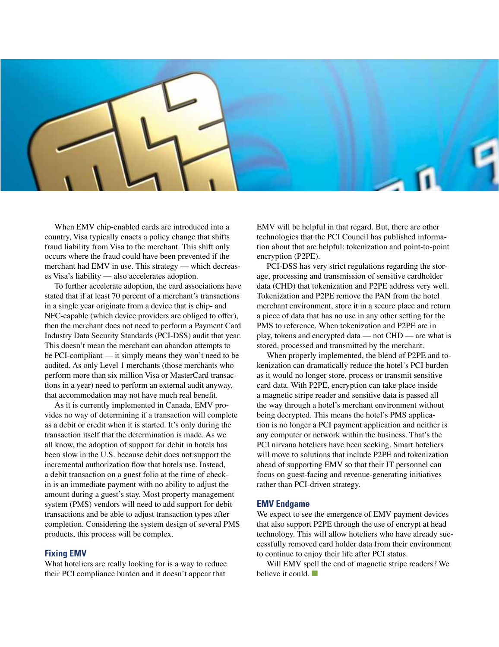

When EMV chip-enabled cards are introduced into a country, Visa typically enacts a policy change that shifts fraud liability from Visa to the merchant. This shift only occurs where the fraud could have been prevented if the merchant had EMV in use. This strategy — which decreases Visa's liability — also accelerates adoption.

To further accelerate adoption, the card associations have stated that if at least 70 percent of a merchant's transactions in a single year originate from a device that is chip- and NFC-capable (which device providers are obliged to offer), then the merchant does not need to perform a Payment Card Industry Data Security Standards (PCI-DSS) audit that year. This doesn't mean the merchant can abandon attempts to be PCI-compliant — it simply means they won't need to be audited. As only Level 1 merchants (those merchants who perform more than six million Visa or MasterCard transactions in a year) need to perform an external audit anyway, that accommodation may not have much real benefit.

As it is currently implemented in Canada, EMV provides no way of determining if a transaction will complete as a debit or credit when it is started. It's only during the transaction itself that the determination is made. As we all know, the adoption of support for debit in hotels has been slow in the U.S. because debit does not support the incremental authorization flow that hotels use. Instead, a debit transaction on a guest folio at the time of checkin is an immediate payment with no ability to adjust the amount during a guest's stay. Most property management system (PMS) vendors will need to add support for debit transactions and be able to adjust transaction types after completion. Considering the system design of several PMS products, this process will be complex.

#### **Fixing EMV**

What hoteliers are really looking for is a way to reduce their PCI compliance burden and it doesn't appear that

EMV will be helpful in that regard. But, there are other technologies that the PCI Council has published information about that are helpful: tokenization and point-to-point encryption (P2PE).

PCI-DSS has very strict regulations regarding the storage, processing and transmission of sensitive cardholder data (CHD) that tokenization and P2PE address very well. Tokenization and P2PE remove the PAN from the hotel merchant environment, store it in a secure place and return a piece of data that has no use in any other setting for the PMS to reference. When tokenization and P2PE are in play, tokens and encrypted data — not CHD — are what is stored, processed and transmitted by the merchant.

When properly implemented, the blend of P2PE and tokenization can dramatically reduce the hotel's PCI burden as it would no longer store, process or transmit sensitive card data. With P2PE, encryption can take place inside a magnetic stripe reader and sensitive data is passed all the way through a hotel's merchant environment without being decrypted. This means the hotel's PMS application is no longer a PCI payment application and neither is any computer or network within the business. That's the PCI nirvana hoteliers have been seeking. Smart hoteliers will move to solutions that include P2PE and tokenization ahead of supporting EMV so that their IT personnel can focus on guest-facing and revenue-generating initiatives rather than PCI-driven strategy.

#### **EMV Endgame**

We expect to see the emergence of EMV payment devices that also support P2PE through the use of encrypt at head technology. This will allow hoteliers who have already successfully removed card holder data from their environment to continue to enjoy their life after PCI status.

Will EMV spell the end of magnetic stripe readers? We believe it could.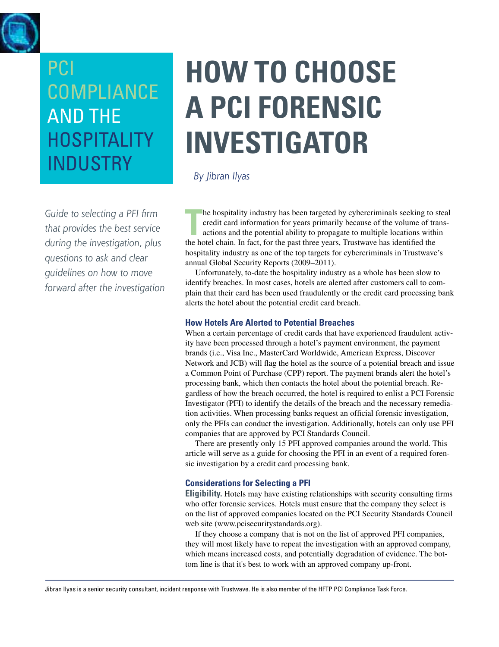<span id="page-19-0"></span>

*Guide to selecting a PFI firm that provides the best service during the investigation, plus questions to ask and clear guidelines on how to move forward after the investigation* 

# **How to choose a PCI Forensic Investigator**

*By Jibran Ilyas*

The hospitality industry has been targeted by cybercriminals seeking to see credit card information for years primarily because of the volume of transitions and the potential ability to propagate to multiple locations with he hospitality industry has been targeted by cybercriminals seeking to steal credit card information for years primarily because of the volume of transactions and the potential ability to propagate to multiple locations within hospitality industry as one of the top targets for cybercriminals in Trustwave's annual Global Security Reports (2009–2011).

Unfortunately, to-date the hospitality industry as a whole has been slow to identify breaches. In most cases, hotels are alerted after customers call to complain that their card has been used fraudulently or the credit card processing bank alerts the hotel about the potential credit card breach.

#### **How Hotels Are Alerted to Potential Breaches**

When a certain percentage of credit cards that have experienced fraudulent activity have been processed through a hotel's payment environment, the payment brands (i.e., Visa Inc., MasterCard Worldwide, American Express, Discover Network and JCB) will flag the hotel as the source of a potential breach and issue a Common Point of Purchase (CPP) report. The payment brands alert the hotel's processing bank, which then contacts the hotel about the potential breach. Regardless of how the breach occurred, the hotel is required to enlist a PCI Forensic Investigator (PFI) to identify the details of the breach and the necessary remediation activities. When processing banks request an official forensic investigation, only the PFIs can conduct the investigation. Additionally, hotels can only use PFI companies that are approved by PCI Standards Council.

There are presently only 15 PFI approved companies around the world. This article will serve as a guide for choosing the PFI in an event of a required forensic investigation by a credit card processing bank.

#### **Considerations for Selecting a PFI**

**Eligibility.** Hotels may have existing relationships with security consulting firms who offer forensic services. Hotels must ensure that the company they select is on the list of approved companies located on the PCI Security Standards Council web site (www.pcisecuritystandards.org).

If they choose a company that is not on the list of approved PFI companies, they will most likely have to repeat the investigation with an approved company, which means increased costs, and potentially degradation of evidence. The bottom line is that it's best to work with an approved company up-front.

Jibran Ilyas is a senior security consultant, incident response with Trustwave. He is also member of the HFTP PCI Compliance Task Force.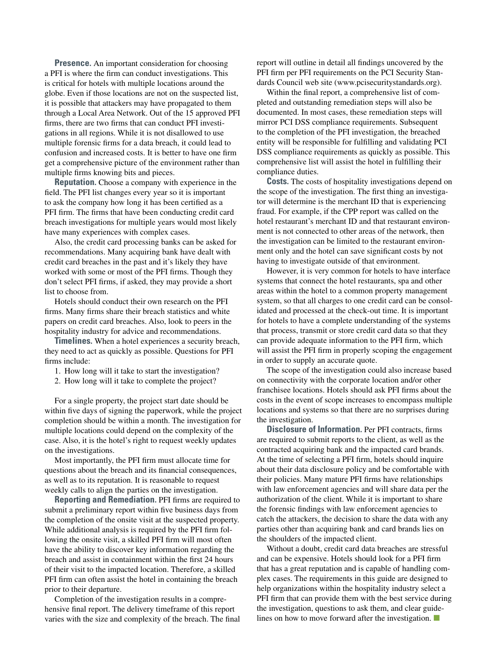**Presence.** An important consideration for choosing a PFI is where the firm can conduct investigations. This is critical for hotels with multiple locations around the globe. Even if those locations are not on the suspected list, it is possible that attackers may have propagated to them through a Local Area Network. Out of the 15 approved PFI firms, there are two firms that can conduct PFI investigations in all regions. While it is not disallowed to use multiple forensic firms for a data breach, it could lead to confusion and increased costs. It is better to have one firm get a comprehensive picture of the environment rather than multiple firms knowing bits and pieces.

**Reputation.** Choose a company with experience in the field. The PFI list changes every year so it is important to ask the company how long it has been certified as a PFI firm. The firms that have been conducting credit card breach investigations for multiple years would most likely have many experiences with complex cases.

Also, the credit card processing banks can be asked for recommendations. Many acquiring bank have dealt with credit card breaches in the past and it's likely they have worked with some or most of the PFI firms. Though they don't select PFI firms, if asked, they may provide a short list to choose from.

Hotels should conduct their own research on the PFI firms. Many firms share their breach statistics and white papers on credit card breaches. Also, look to peers in the hospitality industry for advice and recommendations.

**Timelines.** When a hotel experiences a security breach, they need to act as quickly as possible. Questions for PFI firms include:

- 1. How long will it take to start the investigation?
- 2. How long will it take to complete the project?

For a single property, the project start date should be within five days of signing the paperwork, while the project completion should be within a month. The investigation for multiple locations could depend on the complexity of the case. Also, it is the hotel's right to request weekly updates on the investigations.

Most importantly, the PFI firm must allocate time for questions about the breach and its financial consequences, as well as to its reputation. It is reasonable to request weekly calls to align the parties on the investigation.

**Reporting and Remediation.** PFI firms are required to submit a preliminary report within five business days from the completion of the onsite visit at the suspected property. While additional analysis is required by the PFI firm following the onsite visit, a skilled PFI firm will most often have the ability to discover key information regarding the breach and assist in containment within the first 24 hours of their visit to the impacted location. Therefore, a skilled PFI firm can often assist the hotel in containing the breach prior to their departure.

Completion of the investigation results in a comprehensive final report. The delivery timeframe of this report varies with the size and complexity of the breach. The final report will outline in detail all findings uncovered by the PFI firm per PFI requirements on the PCI Security Standards Council web site (www.pcisecuritystandards.org).

Within the final report, a comprehensive list of completed and outstanding remediation steps will also be documented. In most cases, these remediation steps will mirror PCI DSS compliance requirements. Subsequent to the completion of the PFI investigation, the breached entity will be responsible for fulfilling and validating PCI DSS compliance requirements as quickly as possible. This comprehensive list will assist the hotel in fulfilling their compliance duties.

**Costs.** The costs of hospitality investigations depend on the scope of the investigation. The first thing an investigator will determine is the merchant ID that is experiencing fraud. For example, if the CPP report was called on the hotel restaurant's merchant ID and that restaurant environment is not connected to other areas of the network, then the investigation can be limited to the restaurant environment only and the hotel can save significant costs by not having to investigate outside of that environment.

However, it is very common for hotels to have interface systems that connect the hotel restaurants, spa and other areas within the hotel to a common property management system, so that all charges to one credit card can be consolidated and processed at the check-out time. It is important for hotels to have a complete understanding of the systems that process, transmit or store credit card data so that they can provide adequate information to the PFI firm, which will assist the PFI firm in properly scoping the engagement in order to supply an accurate quote.

The scope of the investigation could also increase based on connectivity with the corporate location and/or other franchisee locations. Hotels should ask PFI firms about the costs in the event of scope increases to encompass multiple locations and systems so that there are no surprises during the investigation.

**Disclosure of Information.** Per PFI contracts, firms are required to submit reports to the client, as well as the contracted acquiring bank and the impacted card brands. At the time of selecting a PFI firm, hotels should inquire about their data disclosure policy and be comfortable with their policies. Many mature PFI firms have relationships with law enforcement agencies and will share data per the authorization of the client. While it is important to share the forensic findings with law enforcement agencies to catch the attackers, the decision to share the data with any parties other than acquiring bank and card brands lies on the shoulders of the impacted client.

Without a doubt, credit card data breaches are stressful and can be expensive. Hotels should look for a PFI firm that has a great reputation and is capable of handling complex cases. The requirements in this guide are designed to help organizations within the hospitality industry select a PFI firm that can provide them with the best service during the investigation, questions to ask them, and clear guidelines on how to move forward after the investigation. ■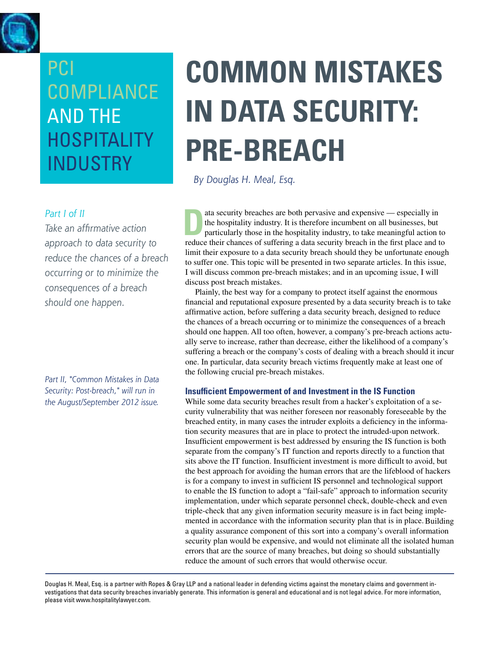<span id="page-21-0"></span>

#### *Part I of II*

*Take an affirmative action approach to data security to reduce the chances of a breach occurring or to minimize the consequences of a breach should one happen.* 

*Part II, "Common Mistakes in Data Security: Post-breach," will run in the August/September 2012 issue.*

# **Common Mistakes in Data Security: Pre-Breach**

*By Douglas H. Meal, Esq.* 

ata security breaches are both pervasive and expensive — especially in<br>the hospitality industry. It is therefore incumbent on all businesses, but<br>particularly those in the hospitality industry, to take meaningful action<br>re the hospitality industry. It is therefore incumbent on all businesses, but particularly those in the hospitality industry, to take meaningful action to reduce their chances of suffering a data security breach in the first place and to limit their exposure to a data security breach should they be unfortunate enough to suffer one. This topic will be presented in two separate articles. In this issue, I will discuss common pre-breach mistakes; and in an upcoming issue, I will discuss post breach mistakes.

Plainly, the best way for a company to protect itself against the enormous financial and reputational exposure presented by a data security breach is to take affirmative action, before suffering a data security breach, designed to reduce the chances of a breach occurring or to minimize the consequences of a breach should one happen. All too often, however, a company's pre-breach actions actually serve to increase, rather than decrease, either the likelihood of a company's suffering a breach or the company's costs of dealing with a breach should it incur one. In particular, data security breach victims frequently make at least one of the following crucial pre-breach mistakes.

#### **Insufficient Empowerment of and Investment in the IS Function**

While some data security breaches result from a hacker's exploitation of a security vulnerability that was neither foreseen nor reasonably foreseeable by the breached entity, in many cases the intruder exploits a deficiency in the information security measures that are in place to protect the intruded-upon network. Insufficient empowerment is best addressed by ensuring the IS function is both separate from the company's IT function and reports directly to a function that sits above the IT function. Insufficient investment is more difficult to avoid, but the best approach for avoiding the human errors that are the lifeblood of hackers is for a company to invest in sufficient IS personnel and technological support to enable the IS function to adopt a "fail-safe" approach to information security implementation, under which separate personnel check, double-check and even triple-check that any given information security measure is in fact being implemented in accordance with the information security plan that is in place.Building a quality assurance component of this sort into a company's overall information security plan would be expensive, and would not eliminate all the isolated human errors that are the source of many breaches, but doing so should substantially reduce the amount of such errors that would otherwise occur.

Douglas H. Meal, Esq. is a partner with Ropes & Gray LLP and a national leader in defending victims against the monetary claims and government investigations that data security breaches invariably generate. This information is general and educational and is not legal advice. For more information, please visit www.hospitalitylawyer.com.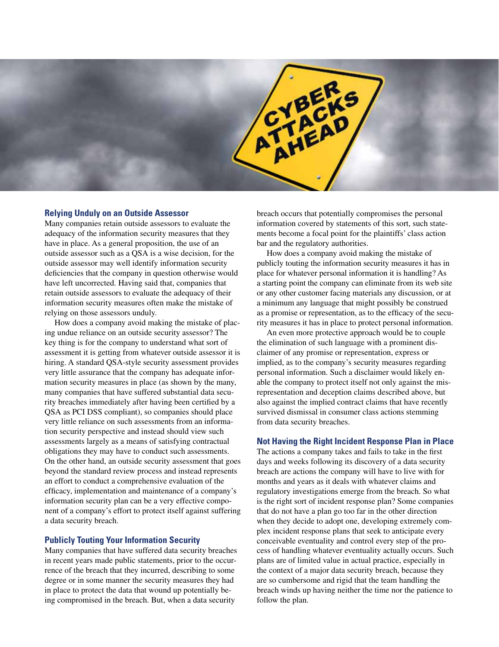

#### **Relying Unduly on an Outside Assessor**

Many companies retain outside assessors to evaluate the adequacy of the information security measures that they have in place. As a general proposition, the use of an outside assessor such as a QSA is a wise decision, for the outside assessor may well identify information security deficiencies that the company in question otherwise would have left uncorrected. Having said that, companies that retain outside assessors to evaluate the adequacy of their information security measures often make the mistake of relying on those assessors unduly.

How does a company avoid making the mistake of placing undue reliance on an outside security assessor? The key thing is for the company to understand what sort of assessment it is getting from whatever outside assessor it is hiring. A standard QSA-style security assessment provides very little assurance that the company has adequate information security measures in place (as shown by the many, many companies that have suffered substantial data security breaches immediately after having been certified by a QSA as PCI DSS compliant), so companies should place very little reliance on such assessments from an information security perspective and instead should view such assessments largely as a means of satisfying contractual obligations they may have to conduct such assessments. On the other hand, an outside security assessment that goes beyond the standard review process and instead represents an effort to conduct a comprehensive evaluation of the efficacy, implementation and maintenance of a company's information security plan can be a very effective component of a company's effort to protect itself against suffering a data security breach.

#### **Publicly Touting Your Information Security**

Many companies that have suffered data security breaches in recent years made public statements, prior to the occurrence of the breach that they incurred, describing to some degree or in some manner the security measures they had in place to protect the data that wound up potentially being compromised in the breach. But, when a data security

breach occurs that potentially compromises the personal information covered by statements of this sort, such statements become a focal point for the plaintiffs' class action bar and the regulatory authorities.

How does a company avoid making the mistake of publicly touting the information security measures it has in place for whatever personal information it is handling? As a starting point the company can eliminate from its web site or any other customer facing materials any discussion, or at a minimum any language that might possibly be construed as a promise or representation, as to the efficacy of the security measures it has in place to protect personal information.

An even more protective approach would be to couple the elimination of such language with a prominent disclaimer of any promise or representation, express or implied, as to the company's security measures regarding personal information. Such a disclaimer would likely enable the company to protect itself not only against the misrepresentation and deception claims described above, but also against the implied contract claims that have recently survived dismissal in consumer class actions stemming from data security breaches.

#### **Not Having the Right Incident Response Plan in Place**

The actions a company takes and fails to take in the first days and weeks following its discovery of a data security breach are actions the company will have to live with for months and years as it deals with whatever claims and regulatory investigations emerge from the breach. So what is the right sort of incident response plan? Some companies that do not have a plan go too far in the other direction when they decide to adopt one, developing extremely complex incident response plans that seek to anticipate every conceivable eventuality and control every step of the process of handling whatever eventuality actually occurs. Such plans are of limited value in actual practice, especially in the context of a major data security breach, because they are so cumbersome and rigid that the team handling the breach winds up having neither the time nor the patience to follow the plan.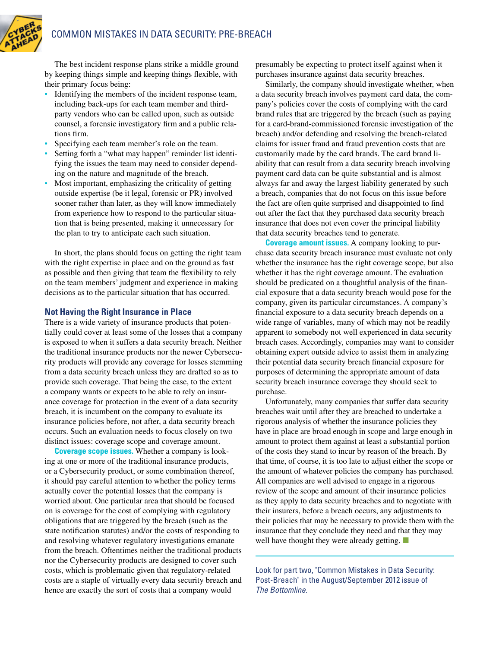

The best incident response plans strike a middle ground by keeping things simple and keeping things flexible, with their primary focus being:

- Identifying the members of the incident response team, including back-ups for each team member and thirdparty vendors who can be called upon, such as outside counsel, a forensic investigatory firm and a public relations firm.
- Specifying each team member's role on the team.
- Setting forth a "what may happen" reminder list identifying the issues the team may need to consider depending on the nature and magnitude of the breach.
- Most important, emphasizing the criticality of getting outside expertise (be it legal, forensic or PR) involved sooner rather than later, as they will know immediately from experience how to respond to the particular situation that is being presented, making it unnecessary for the plan to try to anticipate each such situation.

In short, the plans should focus on getting the right team with the right expertise in place and on the ground as fast as possible and then giving that team the flexibility to rely on the team members' judgment and experience in making decisions as to the particular situation that has occurred.

#### **Not Having the Right Insurance in Place**

There is a wide variety of insurance products that potentially could cover at least some of the losses that a company is exposed to when it suffers a data security breach. Neither the traditional insurance products nor the newer Cybersecurity products will provide any coverage for losses stemming from a data security breach unless they are drafted so as to provide such coverage. That being the case, to the extent a company wants or expects to be able to rely on insurance coverage for protection in the event of a data security breach, it is incumbent on the company to evaluate its insurance policies before, not after, a data security breach occurs. Such an evaluation needs to focus closely on two distinct issues: coverage scope and coverage amount.

**Coverage scope issues.** Whether a company is looking at one or more of the traditional insurance products, or a Cybersecurity product, or some combination thereof, it should pay careful attention to whether the policy terms actually cover the potential losses that the company is worried about. One particular area that should be focused on is coverage for the cost of complying with regulatory obligations that are triggered by the breach (such as the state notification statutes) and/or the costs of responding to and resolving whatever regulatory investigations emanate from the breach. Oftentimes neither the traditional products nor the Cybersecurity products are designed to cover such costs, which is problematic given that regulatory-related costs are a staple of virtually every data security breach and hence are exactly the sort of costs that a company would

presumably be expecting to protect itself against when it purchases insurance against data security breaches.

Similarly, the company should investigate whether, when a data security breach involves payment card data, the company's policies cover the costs of complying with the card brand rules that are triggered by the breach (such as paying for a card-brand-commissioned forensic investigation of the breach) and/or defending and resolving the breach-related claims for issuer fraud and fraud prevention costs that are customarily made by the card brands. The card brand liability that can result from a data security breach involving payment card data can be quite substantial and is almost always far and away the largest liability generated by such a breach, companies that do not focus on this issue before the fact are often quite surprised and disappointed to find out after the fact that they purchased data security breach insurance that does not even cover the principal liability that data security breaches tend to generate.

**Coverage amount issues.** A company looking to purchase data security breach insurance must evaluate not only whether the insurance has the right coverage scope, but also whether it has the right coverage amount. The evaluation should be predicated on a thoughtful analysis of the financial exposure that a data security breach would pose for the company, given its particular circumstances. A company's financial exposure to a data security breach depends on a wide range of variables, many of which may not be readily apparent to somebody not well experienced in data security breach cases. Accordingly, companies may want to consider obtaining expert outside advice to assist them in analyzing their potential data security breach financial exposure for purposes of determining the appropriate amount of data security breach insurance coverage they should seek to purchase.

Unfortunately, many companies that suffer data security breaches wait until after they are breached to undertake a rigorous analysis of whether the insurance policies they have in place are broad enough in scope and large enough in amount to protect them against at least a substantial portion of the costs they stand to incur by reason of the breach. By that time, of course, it is too late to adjust either the scope or the amount of whatever policies the company has purchased. All companies are well advised to engage in a rigorous review of the scope and amount of their insurance policies as they apply to data security breaches and to negotiate with their insurers, before a breach occurs, any adjustments to their policies that may be necessary to provide them with the insurance that they conclude they need and that they may well have thought they were already getting. ■

Look for part two, "Common Mistakes in Data Security: Post-Breach" in the August/September 2012 issue of *The Bottomline*.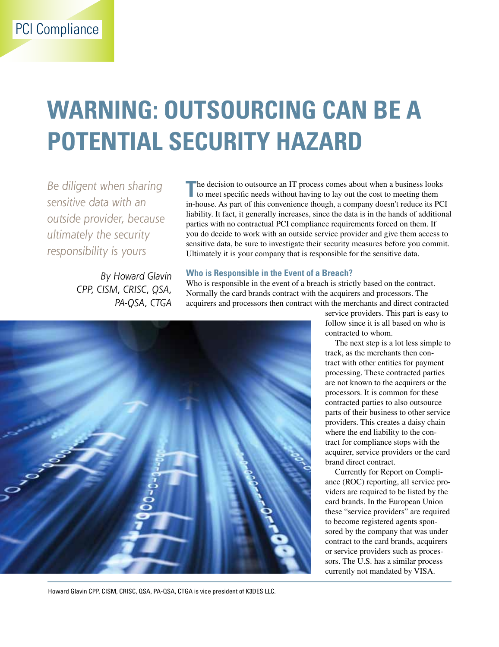## <span id="page-24-0"></span>**Warning: Outsourcing can be a potential security hazard**

*Be diligent when sharing sensitive data with an outside provider, because ultimately the security responsibility is yours*

> *By Howard Glavin CPP, CISM, CRISC, QSA, PA-QSA, CTGA*

The decision to outsource an IT process comes about when a business looks to meet specific needs without having to lay out the cost to meeting them in-house. As part of this convenience though, a company doesn't reduce its PCI liability. It fact, it generally increases, since the data is in the hands of additional parties with no contractual PCI compliance requirements forced on them. If you do decide to work with an outside service provider and give them access to sensitive data, be sure to investigate their security measures before you commit. Ultimately it is your company that is responsible for the sensitive data.

#### **Who is Responsible in the Event of a Breach?**

Who is responsible in the event of a breach is strictly based on the contract. Normally the card brands contract with the acquirers and processors. The acquirers and processors then contract with the merchants and direct contracted



service providers. This part is easy to follow since it is all based on who is contracted to whom.

The next step is a lot less simple to track, as the merchants then contract with other entities for payment processing. These contracted parties are not known to the acquirers or the processors. It is common for these contracted parties to also outsource parts of their business to other service providers. This creates a daisy chain where the end liability to the contract for compliance stops with the acquirer, service providers or the card brand direct contract.

Currently for Report on Compliance (ROC) reporting, all service providers are required to be listed by the card brands. In the European Union these "service providers" are required to become registered agents sponsored by the company that was under contract to the card brands, acquirers or service providers such as processors. The U.S. has a similar process currently not mandated by VISA.

Howard Glavin CPP, CISM, CRISC, QSA, PA-QSA, CTGA is vice president of K3DES LLC.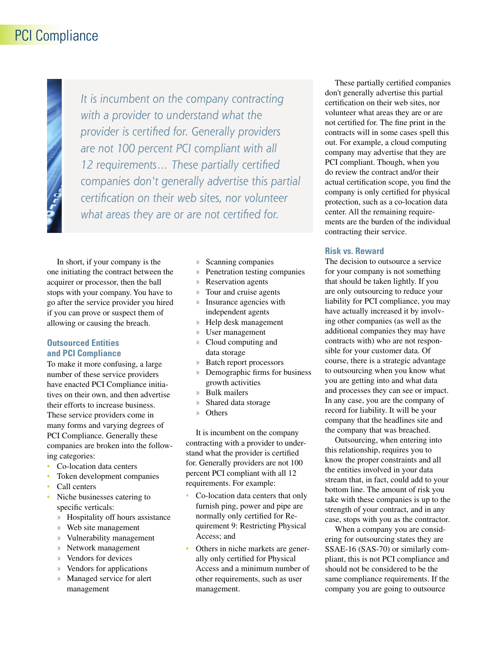### PCI Compliance

*It is incumbent on the company contracting with a provider to understand what the provider is certified for. Generally providers are not 100 percent PCI compliant with all 12 requirements… These partially certified companies don't generally advertise this partial certification on their web sites, nor volunteer what areas they are or are not certified for.*

In short, if your company is the one initiating the contract between the acquirer or processor, then the ball stops with your company. You have to go after the service provider you hired if you can prove or suspect them of allowing or causing the breach.

#### **Outsourced Entities and PCI Compliance**

To make it more confusing, a large number of these service providers have enacted PCI Compliance initiatives on their own, and then advertise their efforts to increase business. These service providers come in many forms and varying degrees of PCI Compliance. Generally these companies are broken into the following categories:

- Co-location data centers
- Token development companies
- Call centers
- Niche businesses catering to specific verticals:
	- » Hospitality off hours assistance
	- » Web site management
	- » Vulnerability management
	- » Network management
	- » Vendors for devices
	- » Vendors for applications
	- » Managed service for alert management
- » Scanning companies
- » Penetration testing companies
- » Reservation agents
- » Tour and cruise agents
- » Insurance agencies with independent agents
- » Help desk management
- » User management
- » Cloud computing and data storage
- » Batch report processors
- » Demographic firms for business growth activities
- » Bulk mailers
- » Shared data storage
- » Others

It is incumbent on the company contracting with a provider to understand what the provider is certified for. Generally providers are not 100 percent PCI compliant with all 12 requirements. For example:

- Co-location data centers that only furnish ping, power and pipe are normally only certified for Requirement 9: Restricting Physical Access; and
- Others in niche markets are generally only certified for Physical Access and a minimum number of other requirements, such as user management.

These partially certified companies don't generally advertise this partial certification on their web sites, nor volunteer what areas they are or are not certified for. The fine print in the contracts will in some cases spell this out. For example, a cloud computing company may advertise that they are PCI compliant. Though, when you do review the contract and/or their actual certification scope, you find the company is only certified for physical protection, such as a co-location data center. All the remaining requirements are the burden of the individual contracting their service.

#### **Risk vs. Reward**

The decision to outsource a service for your company is not something that should be taken lightly. If you are only outsourcing to reduce your liability for PCI compliance, you may have actually increased it by involving other companies (as well as the additional companies they may have contracts with) who are not responsible for your customer data. Of course, there is a strategic advantage to outsourcing when you know what you are getting into and what data and processes they can see or impact. In any case, you are the company of record for liability. It will be your company that the headlines site and the company that was breached.

Outsourcing, when entering into this relationship, requires you to know the proper constraints and all the entities involved in your data stream that, in fact, could add to your bottom line. The amount of risk you take with these companies is up to the strength of your contract, and in any case, stops with you as the contractor.

When a company you are considering for outsourcing states they are SSAE-16 (SAS-70) or similarly compliant, this is not PCI compliance and should not be considered to be the same compliance requirements. If the company you are going to outsource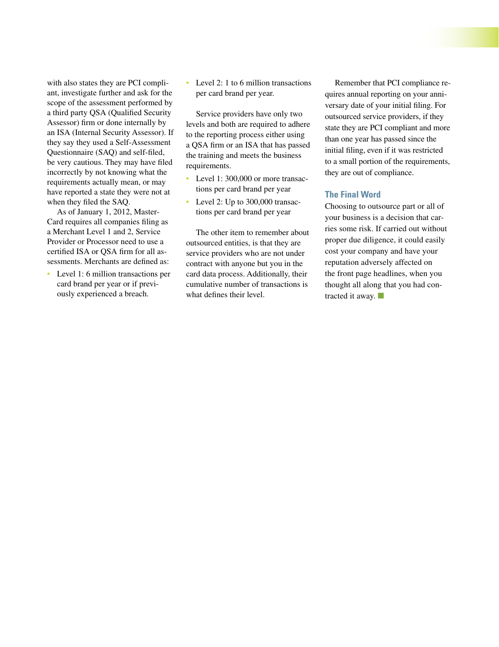with also states they are PCI compliant, investigate further and ask for the scope of the assessment performed by a third party QSA (Qualified Security Assessor) firm or done internally by an ISA (Internal Security Assessor). If they say they used a Self-Assessment Questionnaire (SAQ) and self-filed, be very cautious. They may have filed incorrectly by not knowing what the requirements actually mean, or may have reported a state they were not at when they filed the SAQ.

As of January 1, 2012, Master-Card requires all companies filing as a Merchant Level 1 and 2, Service Provider or Processor need to use a certified ISA or QSA firm for all assessments. Merchants are defined as:

Level 1: 6 million transactions per card brand per year or if previously experienced a breach.

• Level 2: 1 to 6 million transactions per card brand per year.

Service providers have only two levels and both are required to adhere to the reporting process either using a QSA firm or an ISA that has passed the training and meets the business requirements.

- Level 1: 300,000 or more transactions per card brand per year
- Level 2: Up to 300,000 transactions per card brand per year

The other item to remember about outsourced entities, is that they are service providers who are not under contract with anyone but you in the card data process. Additionally, their cumulative number of transactions is what defines their level.

Remember that PCI compliance requires annual reporting on your anniversary date of your initial filing. For outsourced service providers, if they state they are PCI compliant and more than one year has passed since the initial filing, even if it was restricted to a small portion of the requirements, they are out of compliance.

#### **The Final Word**

Choosing to outsource part or all of your business is a decision that carries some risk. If carried out without proper due diligence, it could easily cost your company and have your reputation adversely affected on the front page headlines, when you thought all along that you had contracted it away.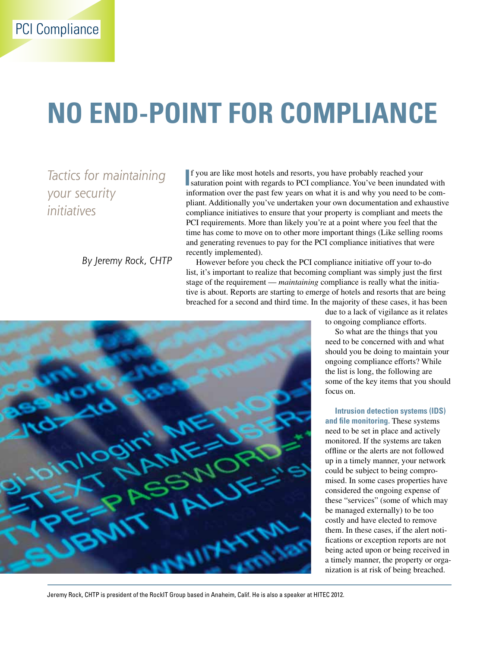# <span id="page-27-0"></span>**no End-point for compliance**

*Tactics for maintaining your security initiatives*

*By Jeremy Rock, CHTP*

**I** f you are like most hotels and resorts, you have probably reached your saturation point with regards to PCI compliance. You've been inundated with information over the past few years on what it is and why you need to be compliant. Additionally you've undertaken your own documentation and exhaustive compliance initiatives to ensure that your property is compliant and meets the PCI requirements. More than likely you're at a point where you feel that the time has come to move on to other more important things (Like selling rooms and generating revenues to pay for the PCI compliance initiatives that were recently implemented).

However before you check the PCI compliance initiative off your to-do list, it's important to realize that becoming compliant was simply just the first stage of the requirement — *maintaining* compliance is really what the initiative is about. Reports are starting to emerge of hotels and resorts that are being breached for a second and third time. In the majority of these cases, it has been



due to a lack of vigilance as it relates to ongoing compliance efforts.

So what are the things that you need to be concerned with and what should you be doing to maintain your ongoing compliance efforts? While the list is long, the following are some of the key items that you should focus on.

**Intrusion detection systems (IDS) and file monitoring.** These systems need to be set in place and actively monitored. If the systems are taken offline or the alerts are not followed up in a timely manner, your network could be subject to being compromised. In some cases properties have considered the ongoing expense of these "services" (some of which may be managed externally) to be too costly and have elected to remove them. In these cases, if the alert notifications or exception reports are not being acted upon or being received in a timely manner, the property or organization is at risk of being breached.

Jeremy Rock, CHTP is president of the RockIT Group based in Anaheim, Calif. He is also a speaker at HITEC 2012.